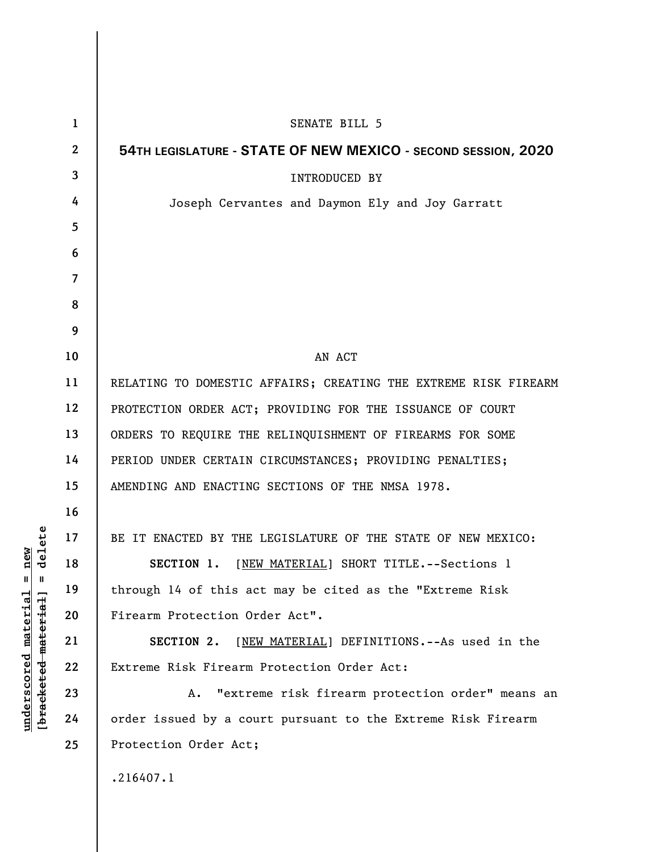| $\mathbf{1}$             | SENATE BILL 5                                                   |
|--------------------------|-----------------------------------------------------------------|
| $\mathbf{2}$             | 54TH LEGISLATURE - STATE OF NEW MEXICO - SECOND SESSION, 2020   |
| $\mathbf{3}$             | <b>INTRODUCED BY</b>                                            |
| 4                        | Joseph Cervantes and Daymon Ely and Joy Garratt                 |
| 5                        |                                                                 |
| 6                        |                                                                 |
| $\overline{\mathcal{L}}$ |                                                                 |
| 8                        |                                                                 |
| 9                        |                                                                 |
| 10                       | AN ACT                                                          |
| 11                       | RELATING TO DOMESTIC AFFAIRS; CREATING THE EXTREME RISK FIREARM |
| 12                       | PROTECTION ORDER ACT; PROVIDING FOR THE ISSUANCE OF COURT       |
| 13                       | ORDERS TO REQUIRE THE RELINQUISHMENT OF FIREARMS FOR SOME       |
| 14                       | PERIOD UNDER CERTAIN CIRCUMSTANCES; PROVIDING PENALTIES;        |
| 15                       | AMENDING AND ENACTING SECTIONS OF THE NMSA 1978.                |
| 16                       |                                                                 |
| 17                       | BE IT ENACTED BY THE LEGISLATURE OF THE STATE OF NEW MEXICO:    |
| 18                       | [NEW MATERIAL] SHORT TITLE.--Sections 1<br>SECTION 1.           |
| 19                       | through 14 of this act may be cited as the "Extreme Risk        |
| 20                       | Firearm Protection Order Act".                                  |
| 21                       | SECTION 2.<br>[NEW MATERIAL] DEFINITIONS. -- As used in the     |
| 22                       | Extreme Risk Firearm Protection Order Act:                      |
| 23                       | "extreme risk firearm protection order" means an<br>Α.          |
| 24                       | order issued by a court pursuant to the Extreme Risk Firearm    |
| 25                       | Protection Order Act;                                           |
|                          | .216407.1                                                       |

**underscored material = new [bracketed material] = delete**

 $[**bracket eted metert et**] = **del et e**$  $underscored material = new$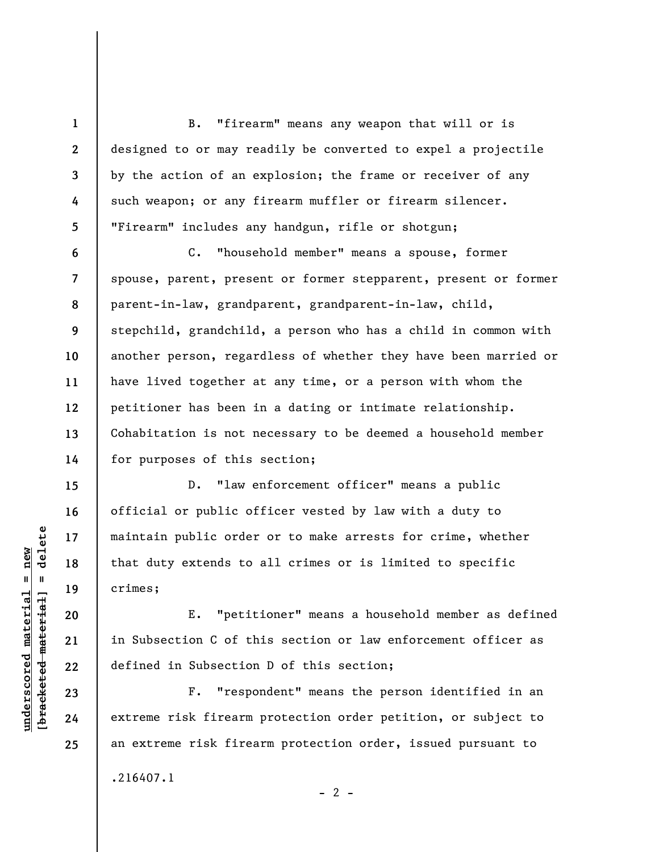B. "firearm" means any weapon that will or is designed to or may readily be converted to expel a projectile by the action of an explosion; the frame or receiver of any such weapon; or any firearm muffler or firearm silencer. "Firearm" includes any handgun, rifle or shotgun;

**8 9**  C. "household member" means a spouse, former spouse, parent, present or former stepparent, present or former parent-in-law, grandparent, grandparent-in-law, child, stepchild, grandchild, a person who has a child in common with another person, regardless of whether they have been married or have lived together at any time, or a person with whom the petitioner has been in a dating or intimate relationship. Cohabitation is not necessary to be deemed a household member for purposes of this section;

D. "law enforcement officer" means a public official or public officer vested by law with a duty to maintain public order or to make arrests for crime, whether that duty extends to all crimes or is limited to specific crimes;

E. "petitioner" means a household member as defined in Subsection C of this section or law enforcement officer as defined in Subsection D of this section;

F. "respondent" means the person identified in an extreme risk firearm protection order petition, or subject to an extreme risk firearm protection order, issued pursuant to .216407.1

 $- 2 -$ 

 $b$ racketed material] = delete **[bracketed material] = delete**  $underscored material = new$ **underscored material = new**

**1** 

**2** 

**3** 

**4** 

**5** 

**6** 

**7** 

**10** 

**11** 

**12** 

**13** 

**14** 

**15** 

**16** 

**17** 

**18** 

**19** 

**20** 

**21** 

**22** 

**23** 

**24**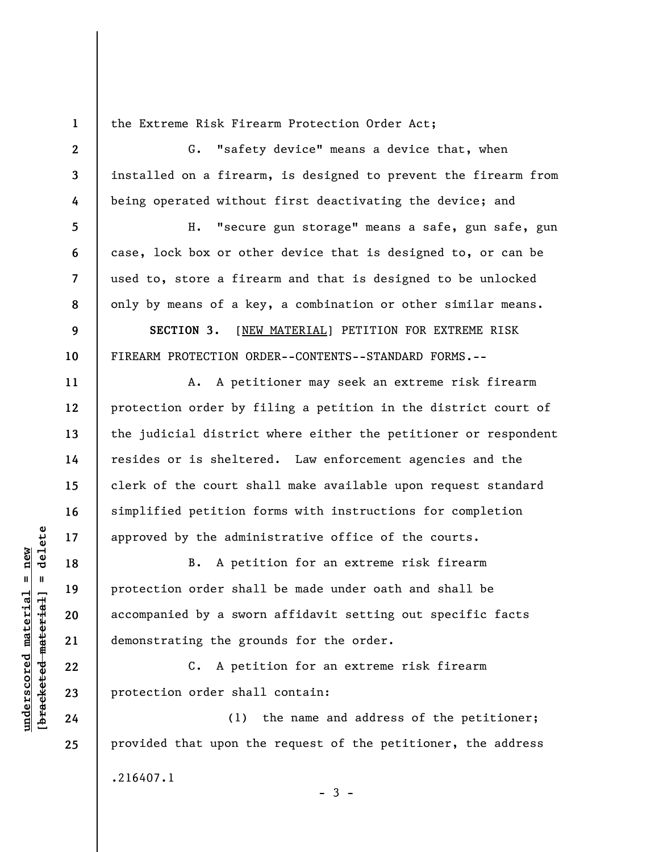the Extreme Risk Firearm Protection Order Act;

**3**  G. "safety device" means a device that, when installed on a firearm, is designed to prevent the firearm from being operated without first deactivating the device; and

H. "secure gun storage" means a safe, gun safe, gun case, lock box or other device that is designed to, or can be used to, store a firearm and that is designed to be unlocked only by means of a key, a combination or other similar means.

**SECTION 3.** [NEW MATERIAL] PETITION FOR EXTREME RISK FIREARM PROTECTION ORDER--CONTENTS--STANDARD FORMS.--

A. A petitioner may seek an extreme risk firearm protection order by filing a petition in the district court of the judicial district where either the petitioner or respondent resides or is sheltered. Law enforcement agencies and the clerk of the court shall make available upon request standard simplified petition forms with instructions for completion approved by the administrative office of the courts.

B. A petition for an extreme risk firearm protection order shall be made under oath and shall be accompanied by a sworn affidavit setting out specific facts demonstrating the grounds for the order.

C. A petition for an extreme risk firearm protection order shall contain:

(1) the name and address of the petitioner; provided that upon the request of the petitioner, the address .216407.1  $-3 -$ 

 $\frac{1}{2}$  of  $\frac{1}{2}$  and  $\frac{1}{2}$  and  $\frac{1}{2}$  and  $\frac{1}{2}$  and  $\frac{1}{2}$  and  $\frac{1}{2}$  and  $\frac{1}{2}$  and  $\frac{1}{2}$  and  $\frac{1}{2}$  and  $\frac{1}{2}$  and  $\frac{1}{2}$  and  $\frac{1}{2}$  and  $\frac{1}{2}$  and  $\frac{1}{2}$  and  $\frac{1}{2}$  an **[bracketed material] = delete**  $anderscored material = new$ **underscored material = new**

**1** 

**2** 

**4** 

**5** 

**6** 

**7** 

**8** 

**9** 

**10** 

**11** 

**12** 

**13** 

**14** 

**15** 

**16** 

**17** 

**18** 

**19** 

**20** 

**21** 

**22** 

**23** 

**24**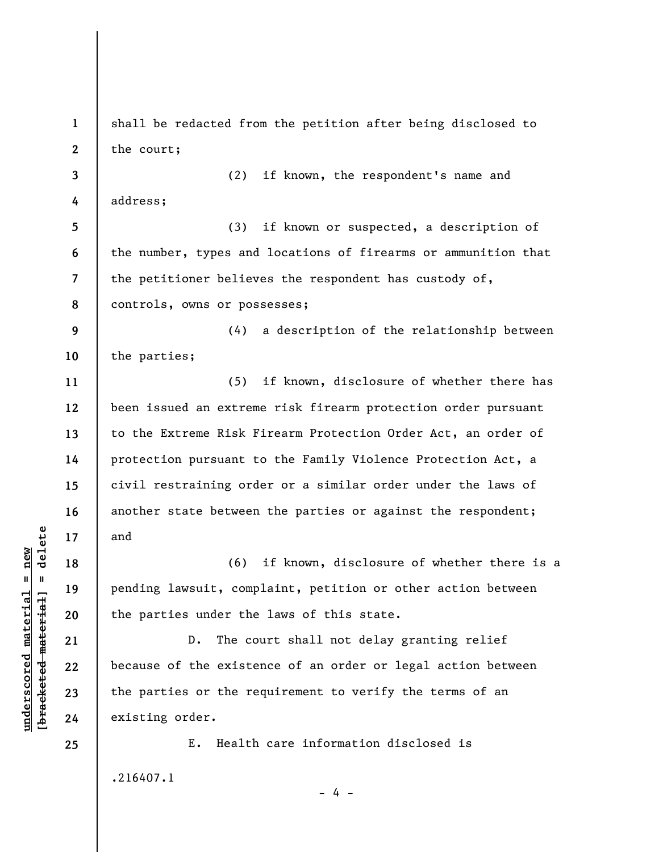**1 2 3 4 5 6 7 8 9 10 11 12 13 14 15 16 17 18 19 20 21 22 23 24 25**  shall be redacted from the petition after being disclosed to the court; (2) if known, the respondent's name and address; (3) if known or suspected, a description of the number, types and locations of firearms or ammunition that the petitioner believes the respondent has custody of, controls, owns or possesses; (4) a description of the relationship between the parties; (5) if known, disclosure of whether there has been issued an extreme risk firearm protection order pursuant to the Extreme Risk Firearm Protection Order Act, an order of protection pursuant to the Family Violence Protection Act, a civil restraining order or a similar order under the laws of another state between the parties or against the respondent; and (6) if known, disclosure of whether there is a pending lawsuit, complaint, petition or other action between the parties under the laws of this state. D. The court shall not delay granting relief because of the existence of an order or legal action between the parties or the requirement to verify the terms of an existing order. E. Health care information disclosed is .216407.1  $- 4 -$ 

 $b$ racketed material] = delete **[bracketed material] = delete**  $underscored material = new$ **underscored material = new**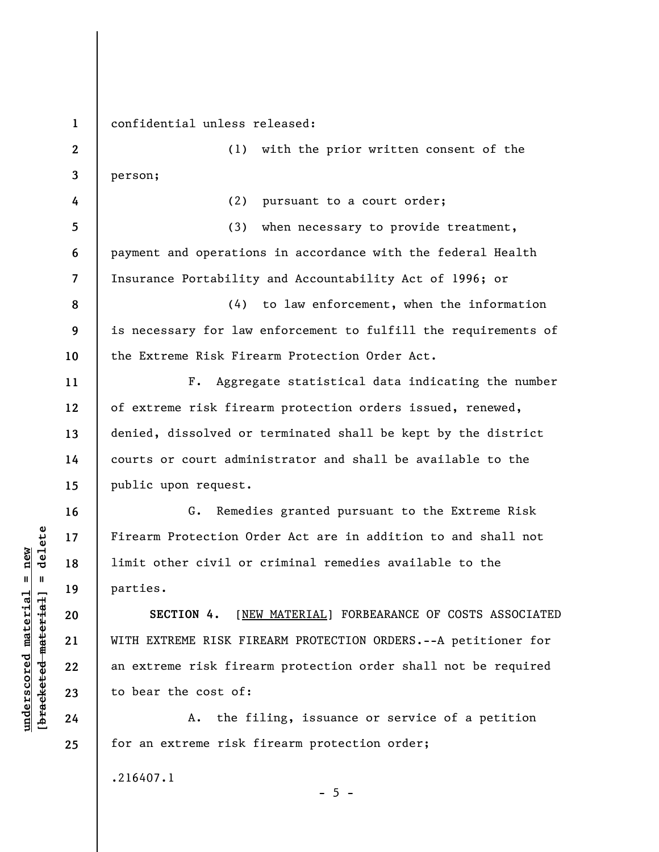**1** 

**4** 

**5** 

**6** 

**7** 

**11** 

**12** 

**13** 

**14** 

**15** 

**16** 

**17** 

**18** 

**19** 

**20** 

**21** 

**22** 

**23** 

**24** 

**25** 

confidential unless released:

**2 3**  (1) with the prior written consent of the person;

(2) pursuant to a court order;

(3) when necessary to provide treatment, payment and operations in accordance with the federal Health Insurance Portability and Accountability Act of 1996; or

**8 9 10**  (4) to law enforcement, when the information is necessary for law enforcement to fulfill the requirements of the Extreme Risk Firearm Protection Order Act.

F. Aggregate statistical data indicating the number of extreme risk firearm protection orders issued, renewed, denied, dissolved or terminated shall be kept by the district courts or court administrator and shall be available to the public upon request.

G. Remedies granted pursuant to the Extreme Risk Firearm Protection Order Act are in addition to and shall not limit other civil or criminal remedies available to the parties.

**SECTION 4.** [NEW MATERIAL] FORBEARANCE OF COSTS ASSOCIATED WITH EXTREME RISK FIREARM PROTECTION ORDERS.--A petitioner for an extreme risk firearm protection order shall not be required to bear the cost of:

A. the filing, issuance or service of a petition for an extreme risk firearm protection order;

 $- 5 -$ 

.216407.1

 $\frac{1}{2}$  intereted material = delete **[bracketed material] = delete**  $underscored material = new$ **underscored material = new**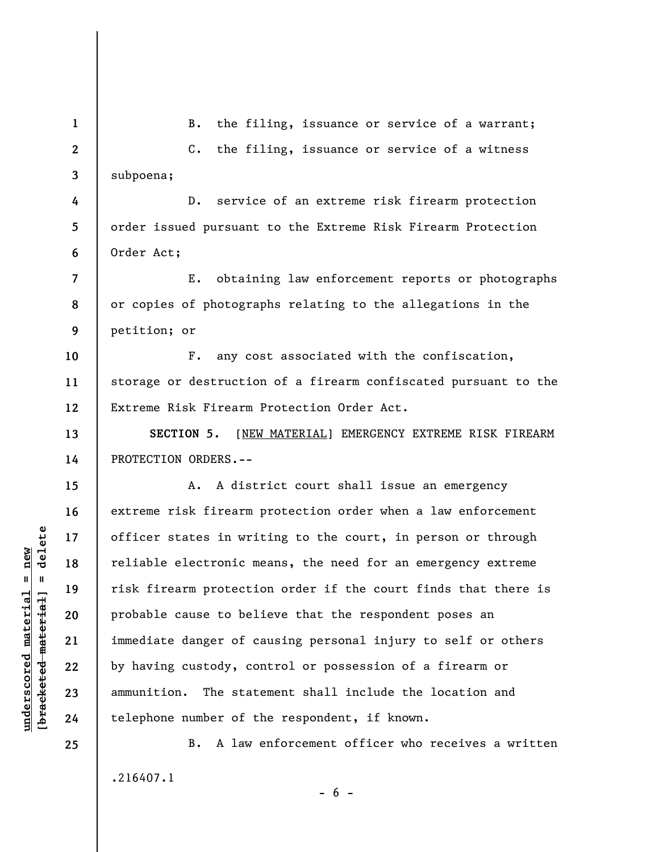| $\mathbf{1}$     | the filing, issuance or service of a warrant;<br>B.               |
|------------------|-------------------------------------------------------------------|
| $\boldsymbol{2}$ | the filing, issuance or service of a witness<br>$c_{\bullet}$     |
| 3                | subpoena;                                                         |
| 4                | service of an extreme risk firearm protection<br>$D$ .            |
| 5                | order issued pursuant to the Extreme Risk Firearm Protection      |
| 6                | Order Act;                                                        |
| 7                | obtaining law enforcement reports or photographs<br>$E_{\bullet}$ |
| 8                | or copies of photographs relating to the allegations in the       |
| 9                | petition; or                                                      |
| 10               | any cost associated with the confiscation,<br>$F_{\bullet}$       |
| 11               | storage or destruction of a firearm confiscated pursuant to the   |
| 12               | Extreme Risk Firearm Protection Order Act.                        |
| 13               | SECTION 5. [NEW MATERIAL] EMERGENCY EXTREME RISK FIREARM          |
| 14               | PROTECTION ORDERS.--                                              |
| 15               | A district court shall issue an emergency<br>А.                   |
| 16               | extreme risk firearm protection order when a law enforcement      |
| 17               | officer states in writing to the court, in person or through      |
| 18               | reliable electronic means, the need for an emergency extreme      |
| 19               | risk firearm protection order if the court finds that there is    |
| 20               | probable cause to believe that the respondent poses an            |
| 21               | immediate danger of causing personal injury to self or others     |
| 22               | by having custody, control or possession of a firearm or          |
| 23               | The statement shall include the location and<br>ammunition.       |
| 24               | telephone number of the respondent, if known.                     |
| 25               | A law enforcement officer who receives a written<br>В.            |
|                  | .216407.1                                                         |

**underscored material = new [bracketed material] = delete**

 $[**bracket**et~~ed matched~~ + **net** + **1** + **1**$  = delete  $underscored material = new$ 

 $- 6 -$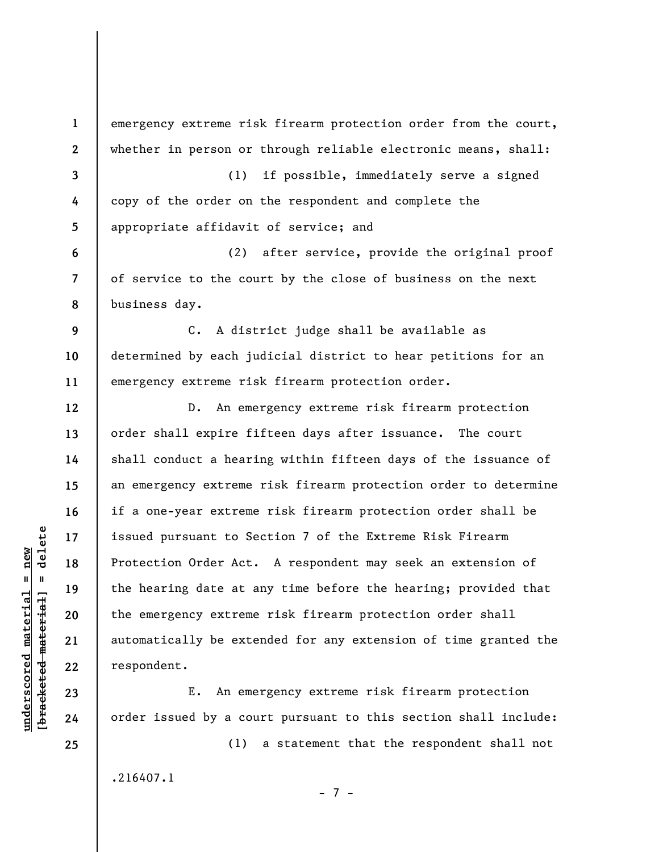**1 2 3 4 5 6 7 8 9 10 11 12 13 14 15 16 17 18 19 20 21 22 23 24**  emergency extreme risk firearm protection order from the court, whether in person or through reliable electronic means, shall: (1) if possible, immediately serve a signed copy of the order on the respondent and complete the appropriate affidavit of service; and (2) after service, provide the original proof of service to the court by the close of business on the next business day. C. A district judge shall be available as determined by each judicial district to hear petitions for an emergency extreme risk firearm protection order. D. An emergency extreme risk firearm protection order shall expire fifteen days after issuance. The court shall conduct a hearing within fifteen days of the issuance of an emergency extreme risk firearm protection order to determine if a one-year extreme risk firearm protection order shall be issued pursuant to Section 7 of the Extreme Risk Firearm Protection Order Act. A respondent may seek an extension of the hearing date at any time before the hearing; provided that the emergency extreme risk firearm protection order shall automatically be extended for any extension of time granted the respondent. E. An emergency extreme risk firearm protection order issued by a court pursuant to this section shall include:

.216407.1

**underscored material = new [bracketed material] = delete**

 $\frac{1}{2}$  intereted material = delete  $underscored material = new$ 

**25** 

- 7 -

(1) a statement that the respondent shall not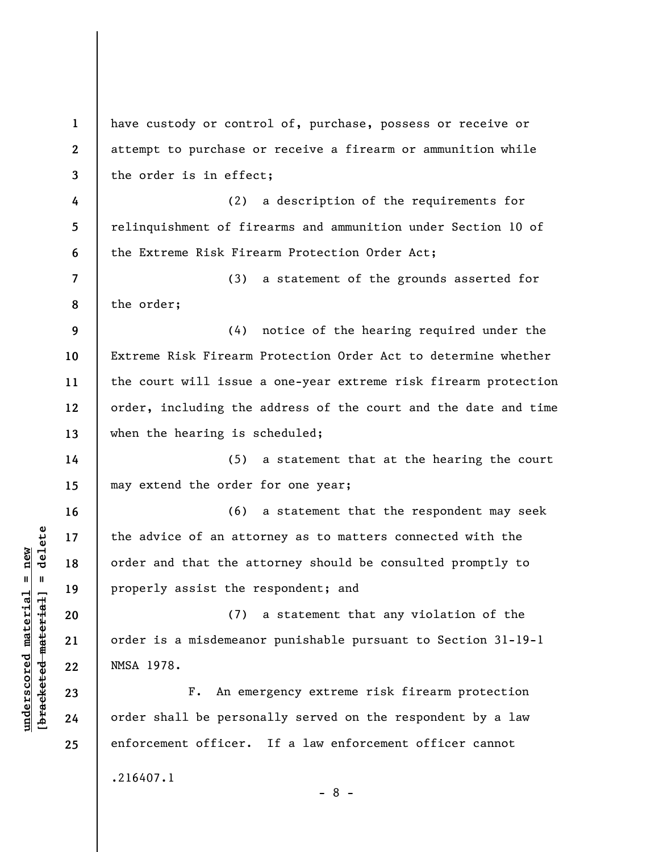**1 2 3 4 5 6 7 8 9 10 11 12 13 14 15 16 17 18 19 20 21 22 23 24 25**  have custody or control of, purchase, possess or receive or attempt to purchase or receive a firearm or ammunition while the order is in effect; (2) a description of the requirements for relinquishment of firearms and ammunition under Section 10 of the Extreme Risk Firearm Protection Order Act; (3) a statement of the grounds asserted for the order; (4) notice of the hearing required under the Extreme Risk Firearm Protection Order Act to determine whether the court will issue a one-year extreme risk firearm protection order, including the address of the court and the date and time when the hearing is scheduled; (5) a statement that at the hearing the court may extend the order for one year; (6) a statement that the respondent may seek the advice of an attorney as to matters connected with the order and that the attorney should be consulted promptly to properly assist the respondent; and (7) a statement that any violation of the order is a misdemeanor punishable pursuant to Section 31-19-1 NMSA 1978. F. An emergency extreme risk firearm protection order shall be personally served on the respondent by a law enforcement officer. If a law enforcement officer cannot .216407.1 - 8 -

 $\frac{1}{2}$  intereted material = delete **[bracketed material] = delete**  $underscored material = new$ **underscored material = new**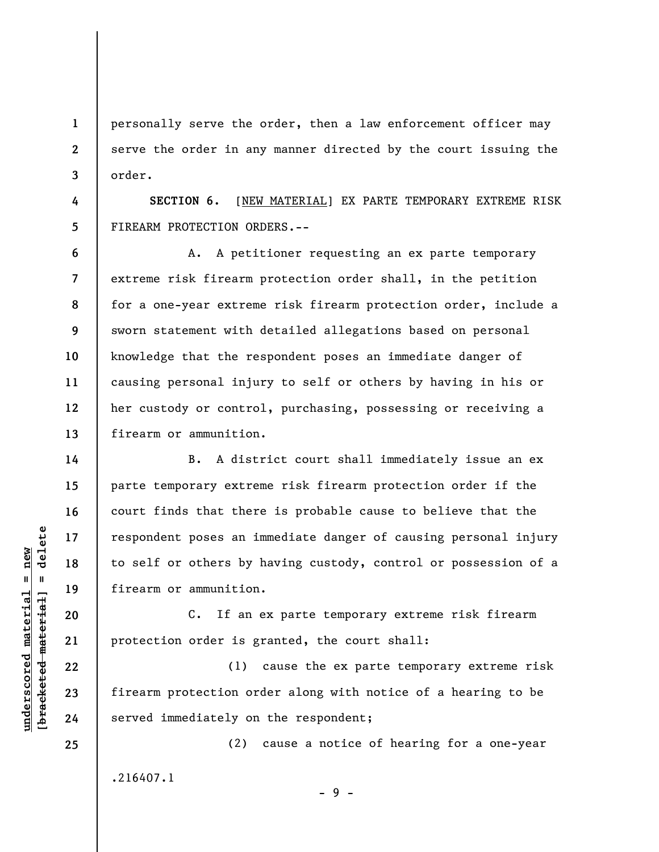personally serve the order, then a law enforcement officer may serve the order in any manner directed by the court issuing the order.

**SECTION 6.** [NEW MATERIAL] EX PARTE TEMPORARY EXTREME RISK FIREARM PROTECTION ORDERS.--

**6 7 8 9 10 11 12 13**  A. A petitioner requesting an ex parte temporary extreme risk firearm protection order shall, in the petition for a one-year extreme risk firearm protection order, include a sworn statement with detailed allegations based on personal knowledge that the respondent poses an immediate danger of causing personal injury to self or others by having in his or her custody or control, purchasing, possessing or receiving a firearm or ammunition.

B. A district court shall immediately issue an ex parte temporary extreme risk firearm protection order if the court finds that there is probable cause to believe that the respondent poses an immediate danger of causing personal injury to self or others by having custody, control or possession of a firearm or ammunition.

C. If an ex parte temporary extreme risk firearm protection order is granted, the court shall:

(1) cause the ex parte temporary extreme risk firearm protection order along with notice of a hearing to be served immediately on the respondent;

(2) cause a notice of hearing for a one-year .216407.1

- 9 -

 $\frac{1}{2}$  intereted material = delete **[bracketed material] = delete**  $underscored material = new$ **underscored material = new**

**1** 

**2** 

**3** 

**4** 

**5** 

**14** 

**15** 

**16** 

**17** 

**18** 

**19** 

**20** 

**21** 

**22** 

**23** 

**24**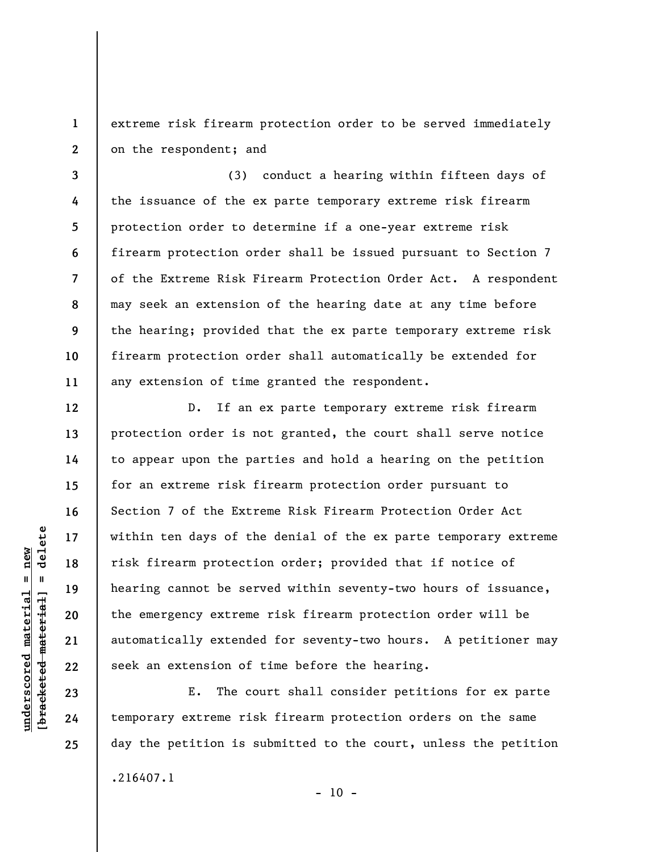extreme risk firearm protection order to be served immediately on the respondent; and

(3) conduct a hearing within fifteen days of the issuance of the ex parte temporary extreme risk firearm protection order to determine if a one-year extreme risk firearm protection order shall be issued pursuant to Section 7 of the Extreme Risk Firearm Protection Order Act. A respondent may seek an extension of the hearing date at any time before the hearing; provided that the ex parte temporary extreme risk firearm protection order shall automatically be extended for any extension of time granted the respondent.

D. If an ex parte temporary extreme risk firearm protection order is not granted, the court shall serve notice to appear upon the parties and hold a hearing on the petition for an extreme risk firearm protection order pursuant to Section 7 of the Extreme Risk Firearm Protection Order Act within ten days of the denial of the ex parte temporary extreme risk firearm protection order; provided that if notice of hearing cannot be served within seventy-two hours of issuance, the emergency extreme risk firearm protection order will be automatically extended for seventy-two hours. A petitioner may seek an extension of time before the hearing.

E. The court shall consider petitions for ex parte temporary extreme risk firearm protection orders on the same day the petition is submitted to the court, unless the petition .216407.1

delete **[bracketed material] = delete**  $underscored material = new$ **underscored material = new**  $\frac{1}{2}$ 

**1** 

**2** 

**3** 

**4** 

**5** 

**6** 

**7** 

**8** 

**9** 

**10** 

**11** 

**12** 

**13** 

**14** 

**15** 

**16** 

**17** 

**18** 

**19** 

**20** 

**21** 

**22** 

**23** 

**24** 

**25** 

 $- 10 -$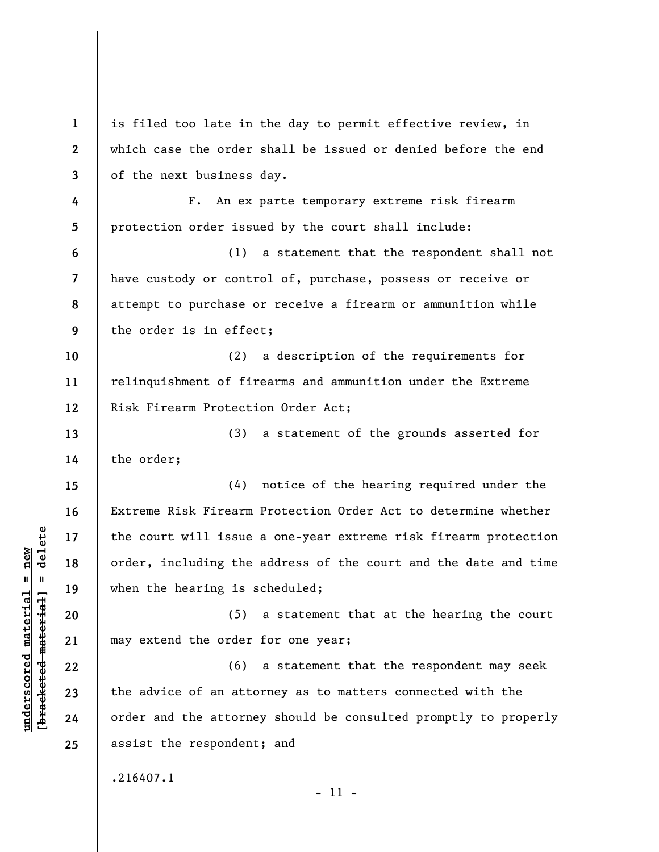**1 2 3 4 5 6 7 8 9 10 11 12 13 14 15 16 17 18 19 20 21 22 23 24 25**  is filed too late in the day to permit effective review, in which case the order shall be issued or denied before the end of the next business day. F. An ex parte temporary extreme risk firearm protection order issued by the court shall include: (1) a statement that the respondent shall not have custody or control of, purchase, possess or receive or attempt to purchase or receive a firearm or ammunition while the order is in effect; (2) a description of the requirements for relinquishment of firearms and ammunition under the Extreme Risk Firearm Protection Order Act; (3) a statement of the grounds asserted for the order; (4) notice of the hearing required under the Extreme Risk Firearm Protection Order Act to determine whether the court will issue a one-year extreme risk firearm protection order, including the address of the court and the date and time when the hearing is scheduled; (5) a statement that at the hearing the court may extend the order for one year; (6) a statement that the respondent may seek the advice of an attorney as to matters connected with the order and the attorney should be consulted promptly to properly assist the respondent; and .216407.1 - 11 -

**underscored material = new [bracketed material] = delete**

 $\frac{1}{2}$  intereted material = delete  $underscored material = new$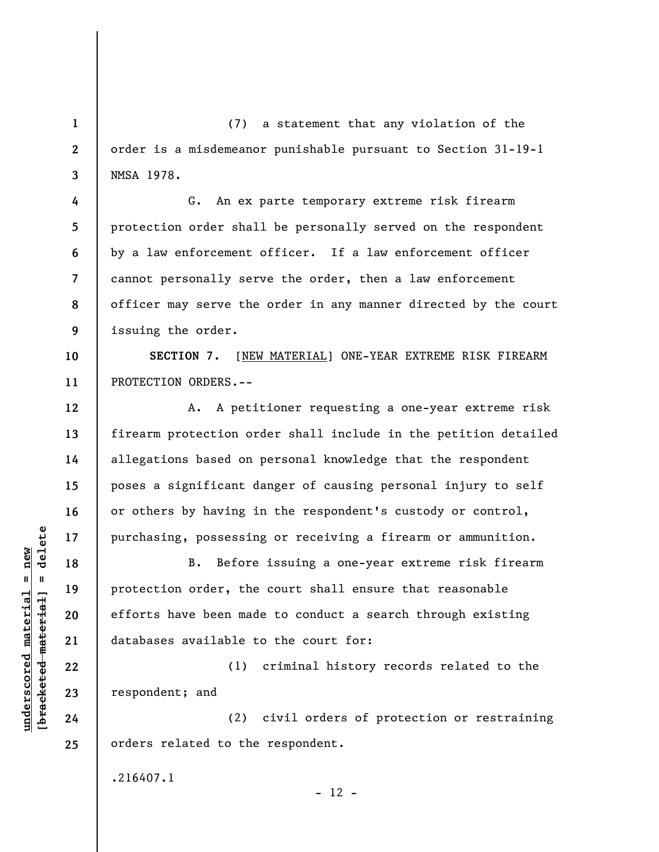(7) a statement that any violation of the order is a misdemeanor punishable pursuant to Section 31-19-1 NMSA 1978.

G. An ex parte temporary extreme risk firearm protection order shall be personally served on the respondent by a law enforcement officer. If a law enforcement officer cannot personally serve the order, then a law enforcement officer may serve the order in any manner directed by the court issuing the order.

**10 11 SECTION 7.** [NEW MATERIAL] ONE-YEAR EXTREME RISK FIREARM PROTECTION ORDERS.--

A. A petitioner requesting a one-year extreme risk firearm protection order shall include in the petition detailed allegations based on personal knowledge that the respondent poses a significant danger of causing personal injury to self or others by having in the respondent's custody or control, purchasing, possessing or receiving a firearm or ammunition.

B. Before issuing a one-year extreme risk firearm protection order, the court shall ensure that reasonable efforts have been made to conduct a search through existing databases available to the court for:

(1) criminal history records related to the respondent; and

(2) civil orders of protection or restraining orders related to the respondent.

.216407.1

 $- 12 -$ 

 $\frac{1}{2}$  intereted material = delete **[bracketed material] = delete**  $underscored material = new$ **underscored material = new**

**1** 

**2** 

**3** 

**4** 

**5** 

**6** 

**7** 

**8** 

**9** 

**12** 

**13** 

**14** 

**15** 

**16** 

**17** 

**18** 

**19** 

**20** 

**21** 

**22** 

**23** 

**24**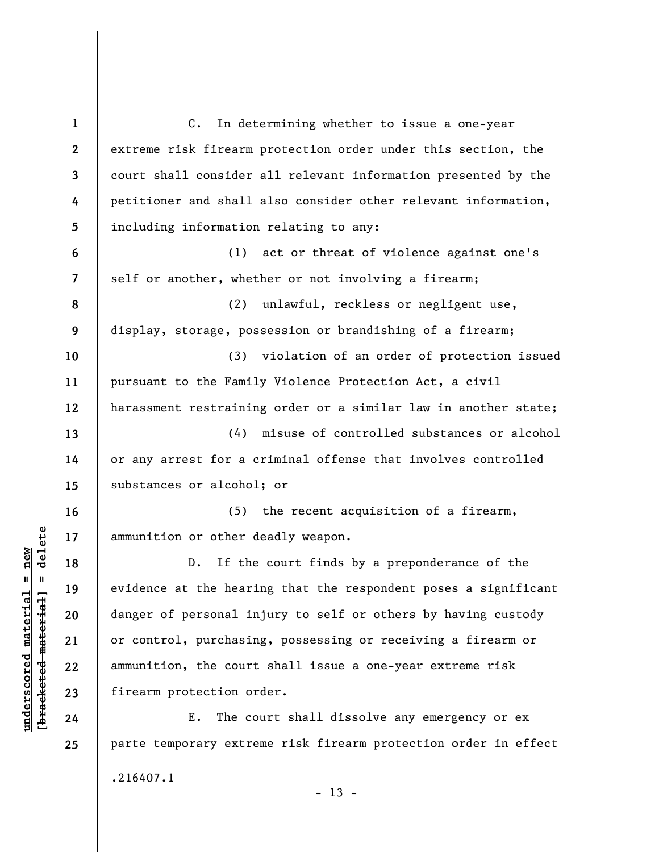**1 2 3 4 5 6 7 8 9 10 11 12 13 14 15 16 17 18 19 20 21 22 23 24 25**  C. In determining whether to issue a one-year extreme risk firearm protection order under this section, the court shall consider all relevant information presented by the petitioner and shall also consider other relevant information, including information relating to any: (1) act or threat of violence against one's self or another, whether or not involving a firearm; (2) unlawful, reckless or negligent use, display, storage, possession or brandishing of a firearm; (3) violation of an order of protection issued pursuant to the Family Violence Protection Act, a civil harassment restraining order or a similar law in another state; (4) misuse of controlled substances or alcohol or any arrest for a criminal offense that involves controlled substances or alcohol; or (5) the recent acquisition of a firearm, ammunition or other deadly weapon. D. If the court finds by a preponderance of the evidence at the hearing that the respondent poses a significant danger of personal injury to self or others by having custody or control, purchasing, possessing or receiving a firearm or ammunition, the court shall issue a one-year extreme risk firearm protection order. E. The court shall dissolve any emergency or ex parte temporary extreme risk firearm protection order in effect .216407.1  $- 13 -$ 

**underscored material = new [bracketed material] = delete**

 $\frac{1}{2}$  intereted material = delete  $underscored material = new$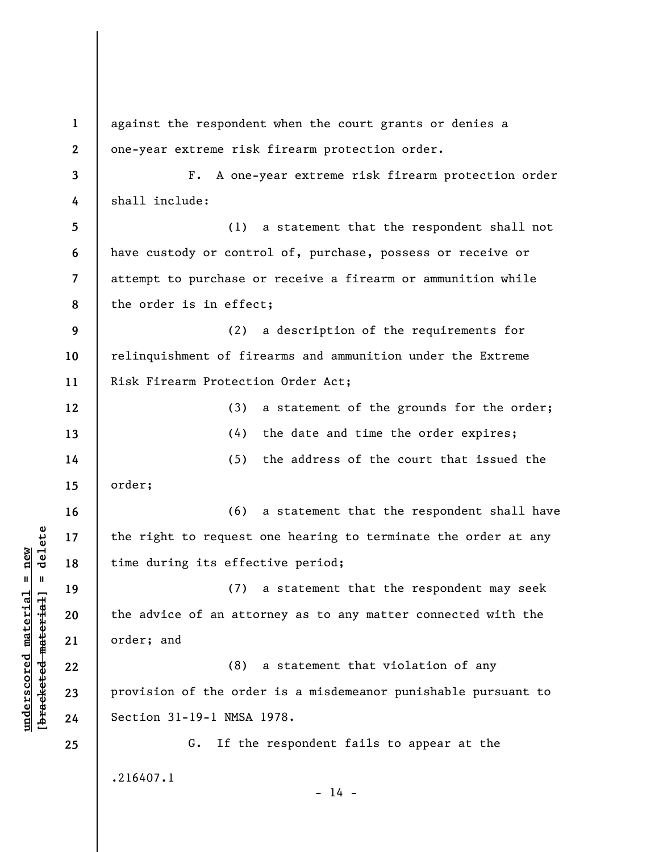**1 2 3 4 5 6 7 8 9 10 11 12 13 14 15 16 17 18 19 20 21 22 23 24 25**  against the respondent when the court grants or denies a one-year extreme risk firearm protection order. F. A one-year extreme risk firearm protection order shall include: (1) a statement that the respondent shall not have custody or control of, purchase, possess or receive or attempt to purchase or receive a firearm or ammunition while the order is in effect; (2) a description of the requirements for relinquishment of firearms and ammunition under the Extreme Risk Firearm Protection Order Act; (3) a statement of the grounds for the order; (4) the date and time the order expires; (5) the address of the court that issued the order; (6) a statement that the respondent shall have the right to request one hearing to terminate the order at any time during its effective period; (7) a statement that the respondent may seek the advice of an attorney as to any matter connected with the order; and (8) a statement that violation of any provision of the order is a misdemeanor punishable pursuant to Section 31-19-1 NMSA 1978. G. If the respondent fails to appear at the .216407.1  $- 14 -$ 

**underscored material = new [bracketed material] = delete**

 $b$ racketed material] = delete  $underscored material = new$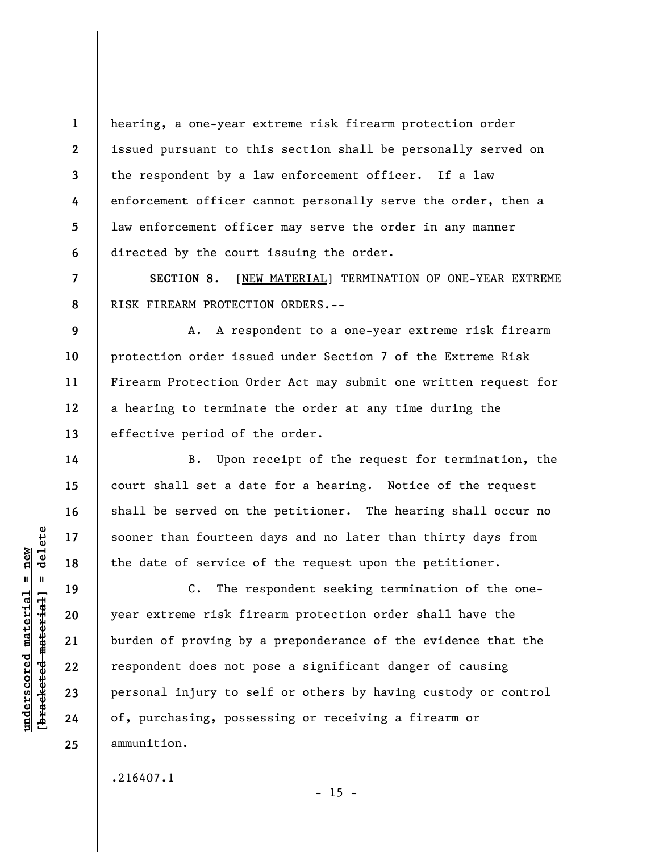**1 2 3 4 5 6**  hearing, a one-year extreme risk firearm protection order issued pursuant to this section shall be personally served on the respondent by a law enforcement officer. If a law enforcement officer cannot personally serve the order, then a law enforcement officer may serve the order in any manner directed by the court issuing the order.

**SECTION 8.** [NEW MATERIAL] TERMINATION OF ONE-YEAR EXTREME RISK FIREARM PROTECTION ORDERS.--

A. A respondent to a one-year extreme risk firearm protection order issued under Section 7 of the Extreme Risk Firearm Protection Order Act may submit one written request for a hearing to terminate the order at any time during the effective period of the order.

B. Upon receipt of the request for termination, the court shall set a date for a hearing. Notice of the request shall be served on the petitioner. The hearing shall occur no sooner than fourteen days and no later than thirty days from the date of service of the request upon the petitioner.

C. The respondent seeking termination of the oneyear extreme risk firearm protection order shall have the burden of proving by a preponderance of the evidence that the respondent does not pose a significant danger of causing personal injury to self or others by having custody or control of, purchasing, possessing or receiving a firearm or ammunition.

 $- 15 -$ 

.216407.1

 $\frac{1}{2}$  of  $\frac{1}{2}$  and  $\frac{1}{2}$  and  $\frac{1}{2}$  and  $\frac{1}{2}$  and  $\frac{1}{2}$  and  $\frac{1}{2}$  and  $\frac{1}{2}$  and  $\frac{1}{2}$  and  $\frac{1}{2}$  and  $\frac{1}{2}$  and  $\frac{1}{2}$  and  $\frac{1}{2}$  and  $\frac{1}{2}$  and  $\frac{1}{2}$  and  $\frac{1}{2}$  an **[bracketed material] = delete**  $anderscored material = new$ **underscored material = new**

**7** 

**8** 

**9** 

**10** 

**11** 

**12** 

**13** 

**14** 

**15** 

**16** 

**17** 

**18** 

**19** 

**20** 

**21** 

**22** 

**23** 

**24**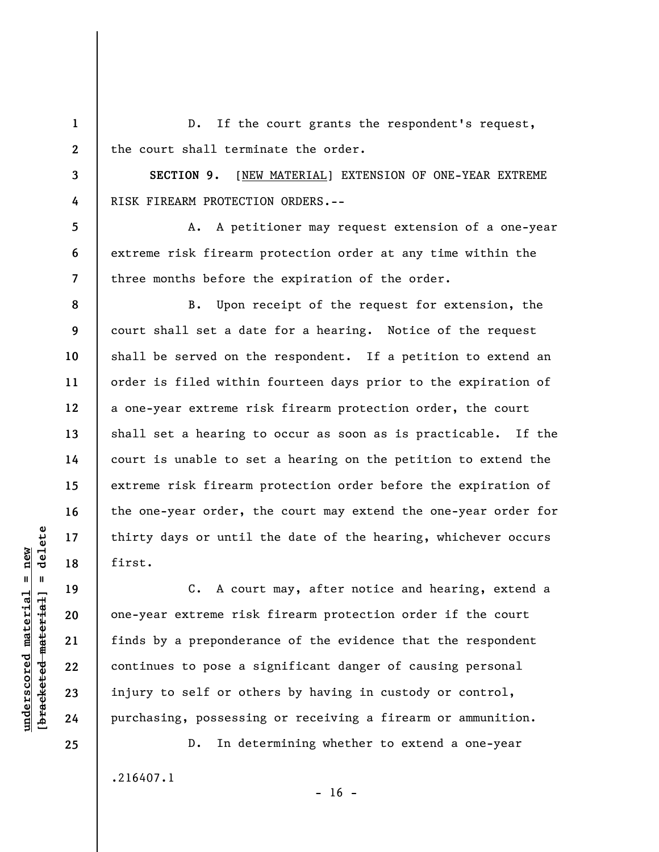**1 2**  D. If the court grants the respondent's request, the court shall terminate the order.

**SECTION 9.** [NEW MATERIAL] EXTENSION OF ONE-YEAR EXTREME RISK FIREARM PROTECTION ORDERS.--

A. A petitioner may request extension of a one-year extreme risk firearm protection order at any time within the three months before the expiration of the order.

B. Upon receipt of the request for extension, the court shall set a date for a hearing. Notice of the request shall be served on the respondent. If a petition to extend an order is filed within fourteen days prior to the expiration of a one-year extreme risk firearm protection order, the court shall set a hearing to occur as soon as is practicable. If the court is unable to set a hearing on the petition to extend the extreme risk firearm protection order before the expiration of the one-year order, the court may extend the one-year order for thirty days or until the date of the hearing, whichever occurs first.

C. A court may, after notice and hearing, extend a one-year extreme risk firearm protection order if the court finds by a preponderance of the evidence that the respondent continues to pose a significant danger of causing personal injury to self or others by having in custody or control, purchasing, possessing or receiving a firearm or ammunition.

D. In determining whether to extend a one-year .216407.1

 $\frac{1}{2}$  intereted material = delete **[bracketed material] = delete**  $underscored material = new$ **underscored material = new**

**25** 

**3** 

**4** 

**5** 

**6** 

**7** 

**8** 

**9** 

**10** 

**11** 

**12** 

**13** 

**14** 

**15** 

**16** 

**17** 

**18** 

**19** 

**20** 

**21** 

**22** 

**23**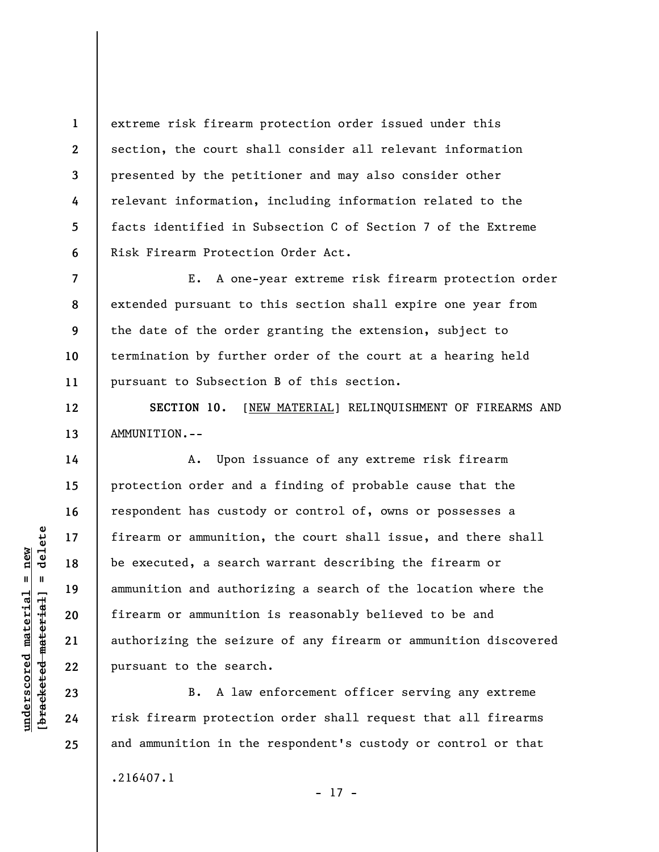extreme risk firearm protection order issued under this section, the court shall consider all relevant information presented by the petitioner and may also consider other relevant information, including information related to the facts identified in Subsection C of Section 7 of the Extreme Risk Firearm Protection Order Act.

**7 8 9 10 11**  E. A one-year extreme risk firearm protection order extended pursuant to this section shall expire one year from the date of the order granting the extension, subject to termination by further order of the court at a hearing held pursuant to Subsection B of this section.

**SECTION 10.** [NEW MATERIAL] RELINQUISHMENT OF FIREARMS AND AMMUNITION.--

A. Upon issuance of any extreme risk firearm protection order and a finding of probable cause that the respondent has custody or control of, owns or possesses a firearm or ammunition, the court shall issue, and there shall be executed, a search warrant describing the firearm or ammunition and authorizing a search of the location where the firearm or ammunition is reasonably believed to be and authorizing the seizure of any firearm or ammunition discovered pursuant to the search.

B. A law enforcement officer serving any extreme risk firearm protection order shall request that all firearms and ammunition in the respondent's custody or control or that .216407.1

 $\frac{1}{2}$  intereted material = delete **[bracketed material] = delete**  $underscored material = new$ **underscored material = new**

**1** 

**2** 

**3** 

**4** 

**5** 

**6** 

**12** 

**13** 

**14** 

**15** 

**16** 

**17** 

**18** 

**19** 

**20** 

**21** 

**22** 

**23** 

**24** 

**25** 

- 17 -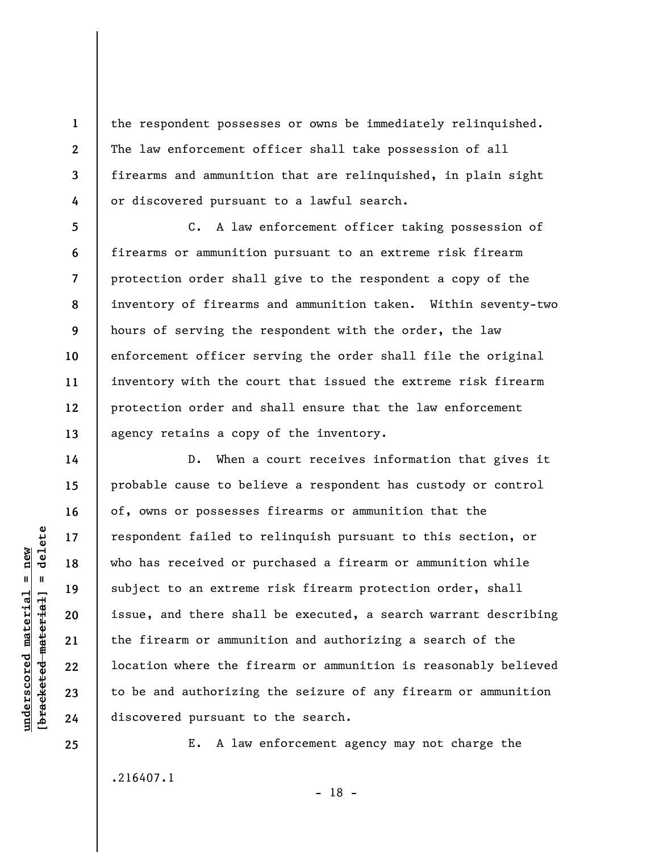the respondent possesses or owns be immediately relinquished. The law enforcement officer shall take possession of all firearms and ammunition that are relinquished, in plain sight or discovered pursuant to a lawful search.

C. A law enforcement officer taking possession of firearms or ammunition pursuant to an extreme risk firearm protection order shall give to the respondent a copy of the inventory of firearms and ammunition taken. Within seventy-two hours of serving the respondent with the order, the law enforcement officer serving the order shall file the original inventory with the court that issued the extreme risk firearm protection order and shall ensure that the law enforcement agency retains a copy of the inventory.

D. When a court receives information that gives it probable cause to believe a respondent has custody or control of, owns or possesses firearms or ammunition that the respondent failed to relinquish pursuant to this section, or who has received or purchased a firearm or ammunition while subject to an extreme risk firearm protection order, shall issue, and there shall be executed, a search warrant describing the firearm or ammunition and authorizing a search of the location where the firearm or ammunition is reasonably believed to be and authorizing the seizure of any firearm or ammunition discovered pursuant to the search.

E. A law enforcement agency may not charge the .216407.1 - 18 -

 $\frac{1}{2}$  of  $\frac{1}{2}$  and  $\frac{1}{2}$  and  $\frac{1}{2}$  and  $\frac{1}{2}$  and  $\frac{1}{2}$  and  $\frac{1}{2}$  and  $\frac{1}{2}$  and  $\frac{1}{2}$  and  $\frac{1}{2}$  and  $\frac{1}{2}$  and  $\frac{1}{2}$  and  $\frac{1}{2}$  and  $\frac{1}{2}$  and  $\frac{1}{2}$  and  $\frac{1}{2}$  an **[bracketed material] = delete**  $underscored material = new$ **underscored material = new**

**1** 

**2** 

**3** 

**4** 

**5** 

**6** 

**7** 

**8** 

**9** 

**10** 

**11** 

**12** 

**13** 

**14** 

**15** 

**16** 

**17** 

**18** 

**19** 

**20** 

**21** 

**22** 

**23** 

**24**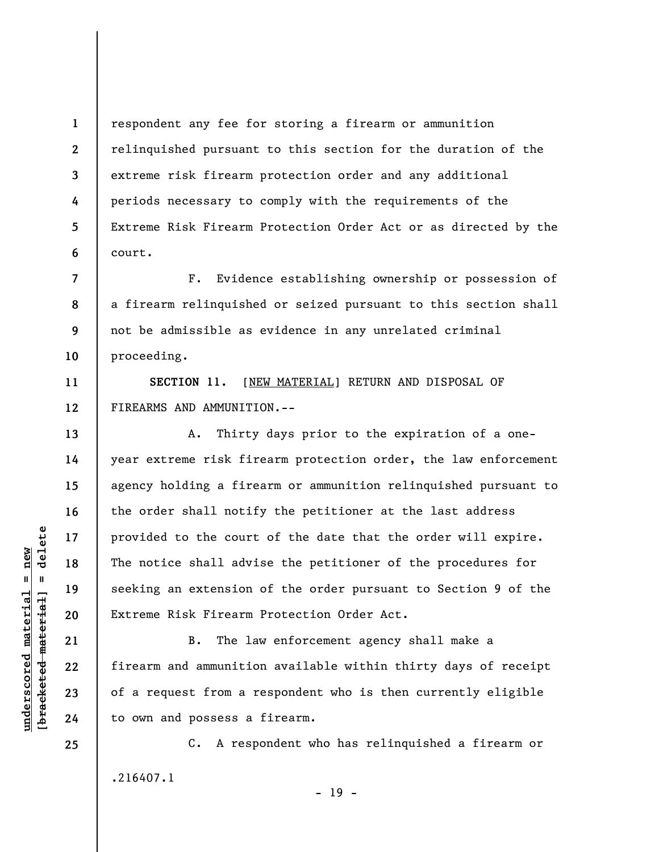**1 2 3 4 5 6**  respondent any fee for storing a firearm or ammunition relinquished pursuant to this section for the duration of the extreme risk firearm protection order and any additional periods necessary to comply with the requirements of the Extreme Risk Firearm Protection Order Act or as directed by the court.

**8**  F. Evidence establishing ownership or possession of a firearm relinquished or seized pursuant to this section shall not be admissible as evidence in any unrelated criminal proceeding.

**SECTION 11.** [NEW MATERIAL] RETURN AND DISPOSAL OF FIREARMS AND AMMUNITION.--

A. Thirty days prior to the expiration of a oneyear extreme risk firearm protection order, the law enforcement agency holding a firearm or ammunition relinquished pursuant to the order shall notify the petitioner at the last address provided to the court of the date that the order will expire. The notice shall advise the petitioner of the procedures for seeking an extension of the order pursuant to Section 9 of the Extreme Risk Firearm Protection Order Act.

B. The law enforcement agency shall make a firearm and ammunition available within thirty days of receipt of a request from a respondent who is then currently eligible to own and possess a firearm.

C. A respondent who has relinquished a firearm or .216407.1  $- 19 -$ 

 $\frac{1}{2}$  intereted material = delete **[bracketed material] = delete**  $underscored material = new$ **underscored material = new**

**24 25** 

**7** 

**9** 

**10** 

**11** 

**12** 

**13** 

**14** 

**15** 

**16** 

**17** 

**18** 

**19** 

**20** 

**21** 

**22**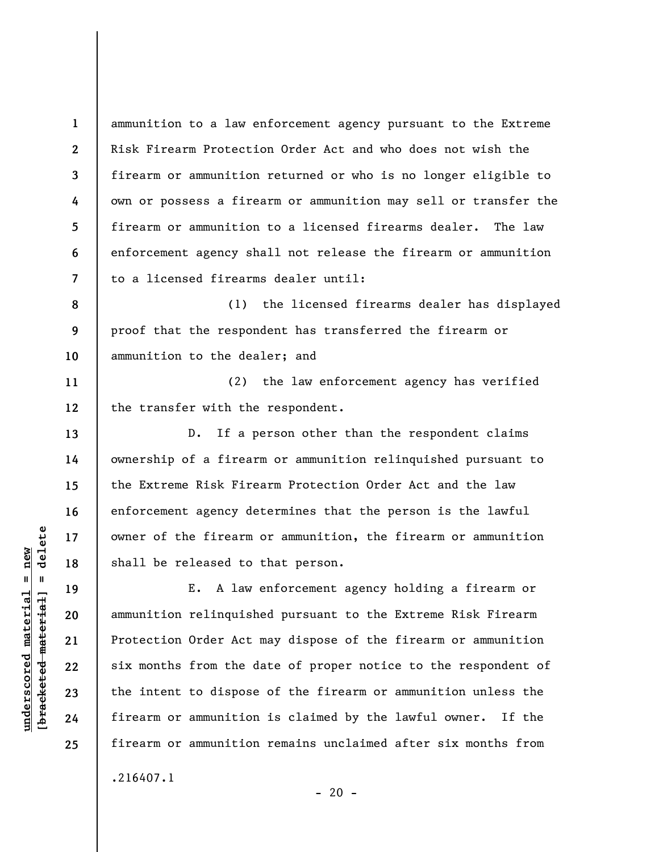ammunition to a law enforcement agency pursuant to the Extreme Risk Firearm Protection Order Act and who does not wish the firearm or ammunition returned or who is no longer eligible to own or possess a firearm or ammunition may sell or transfer the firearm or ammunition to a licensed firearms dealer. The law enforcement agency shall not release the firearm or ammunition to a licensed firearms dealer until:

**8 9 10**  (1) the licensed firearms dealer has displayed proof that the respondent has transferred the firearm or ammunition to the dealer; and

**11 12**  (2) the law enforcement agency has verified the transfer with the respondent.

D. If a person other than the respondent claims ownership of a firearm or ammunition relinquished pursuant to the Extreme Risk Firearm Protection Order Act and the law enforcement agency determines that the person is the lawful owner of the firearm or ammunition, the firearm or ammunition shall be released to that person.

E. A law enforcement agency holding a firearm or ammunition relinquished pursuant to the Extreme Risk Firearm Protection Order Act may dispose of the firearm or ammunition six months from the date of proper notice to the respondent of the intent to dispose of the firearm or ammunition unless the firearm or ammunition is claimed by the lawful owner. If the firearm or ammunition remains unclaimed after six months from .216407.1

 $\frac{1}{2}$  intereted material = delete **[bracketed material] = delete**  $underscored material = new$ **underscored material = new**

**1** 

**2** 

**3** 

**4** 

**5** 

**6** 

**7** 

**13** 

**14** 

**15** 

**16** 

**17** 

**18** 

**19** 

**20** 

**21** 

**22** 

**23** 

**24**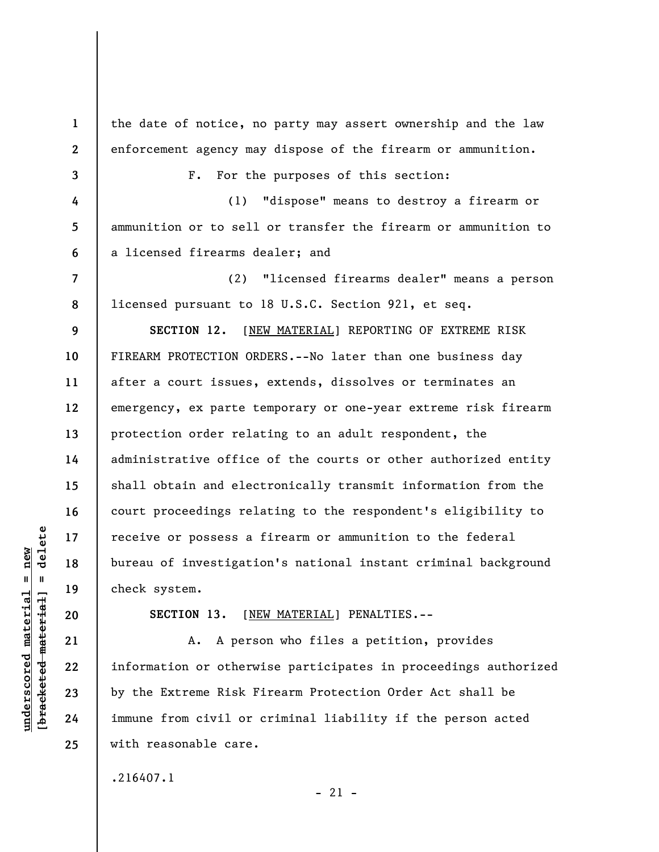**1 2 3 4 5 6 7 8 9 10 11 12 13 14 15 16 17 18 19 20 21 22 23 24**  the date of notice, no party may assert ownership and the law enforcement agency may dispose of the firearm or ammunition. F. For the purposes of this section: (1) "dispose" means to destroy a firearm or ammunition or to sell or transfer the firearm or ammunition to a licensed firearms dealer; and (2) "licensed firearms dealer" means a person licensed pursuant to 18 U.S.C. Section 921, et seq. **SECTION 12.** [NEW MATERIAL] REPORTING OF EXTREME RISK FIREARM PROTECTION ORDERS.--No later than one business day after a court issues, extends, dissolves or terminates an emergency, ex parte temporary or one-year extreme risk firearm protection order relating to an adult respondent, the administrative office of the courts or other authorized entity shall obtain and electronically transmit information from the court proceedings relating to the respondent's eligibility to receive or possess a firearm or ammunition to the federal bureau of investigation's national instant criminal background check system. **SECTION 13.** [NEW MATERIAL] PENALTIES.-- A. A person who files a petition, provides information or otherwise participates in proceedings authorized by the Extreme Risk Firearm Protection Order Act shall be immune from civil or criminal liability if the person acted

.216407.1

with reasonable care.

 $\frac{1}{2}$  of  $\frac{1}{2}$  and  $\frac{1}{2}$  and  $\frac{1}{2}$  and  $\frac{1}{2}$  and  $\frac{1}{2}$  and  $\frac{1}{2}$  and  $\frac{1}{2}$  and  $\frac{1}{2}$  and  $\frac{1}{2}$  and  $\frac{1}{2}$  and  $\frac{1}{2}$  and  $\frac{1}{2}$  and  $\frac{1}{2}$  and  $\frac{1}{2}$  and  $\frac{1}{2}$  an **[bracketed material] = delete**  $anderscored material = new$ **underscored material = new**

**25** 

 $-21 -$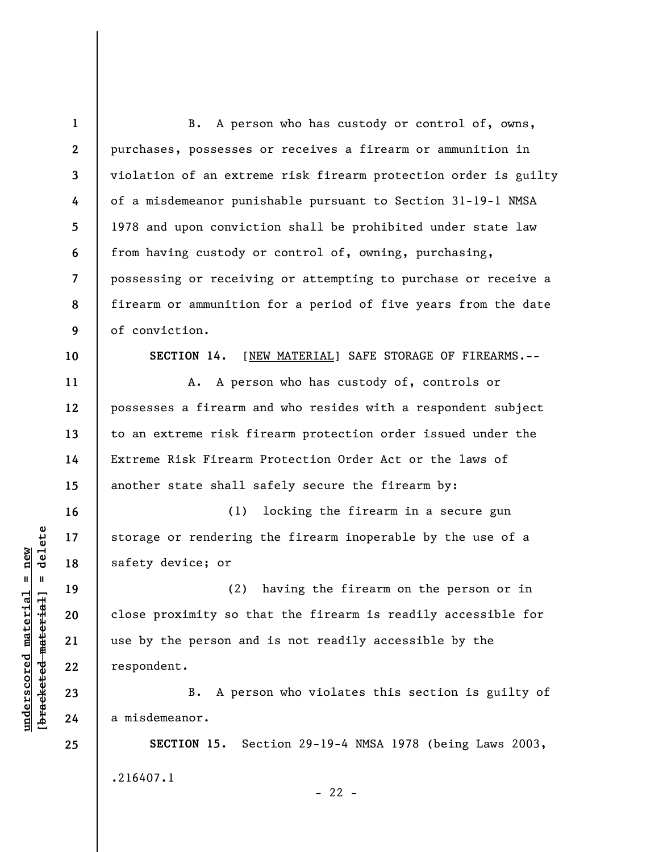**1 2 3 4 5 6 7 8 9 10 11 12 13 14 15 16 17 18 19 20 21 22 23 24 25**  B. A person who has custody or control of, owns, purchases, possesses or receives a firearm or ammunition in violation of an extreme risk firearm protection order is guilty of a misdemeanor punishable pursuant to Section 31-19-1 NMSA 1978 and upon conviction shall be prohibited under state law from having custody or control of, owning, purchasing, possessing or receiving or attempting to purchase or receive a firearm or ammunition for a period of five years from the date of conviction. **SECTION 14.** [NEW MATERIAL] SAFE STORAGE OF FIREARMS.-- A. A person who has custody of, controls or possesses a firearm and who resides with a respondent subject to an extreme risk firearm protection order issued under the Extreme Risk Firearm Protection Order Act or the laws of another state shall safely secure the firearm by: (1) locking the firearm in a secure gun storage or rendering the firearm inoperable by the use of a safety device; or (2) having the firearm on the person or in close proximity so that the firearm is readily accessible for use by the person and is not readily accessible by the respondent. B. A person who violates this section is guilty of a misdemeanor. **SECTION 15.** Section 29-19-4 NMSA 1978 (being Laws 2003,

.216407.1

**underscored material = new [bracketed material] = delete**

 $\frac{1}{2}$  intereted material = delete  $underscored material = new$ 

 $- 22 -$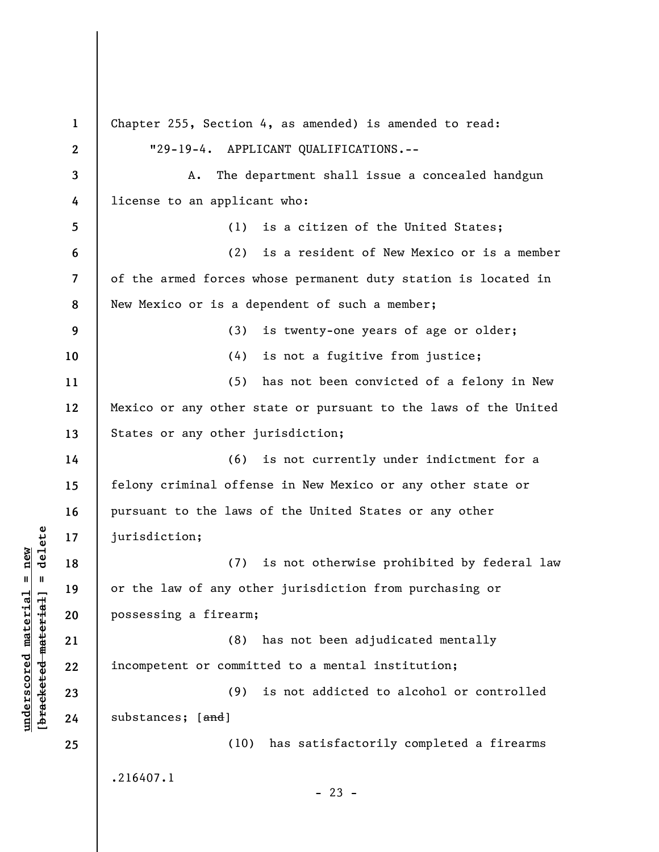**1 2 3 4 5 6 7 8 9 10 11 12 13 14 15 16 17 18 19 20 21 22 23 24 25**  Chapter 255, Section 4, as amended) is amended to read: "29-19-4. APPLICANT QUALIFICATIONS.-- A. The department shall issue a concealed handgun license to an applicant who: (1) is a citizen of the United States; (2) is a resident of New Mexico or is a member of the armed forces whose permanent duty station is located in New Mexico or is a dependent of such a member; (3) is twenty-one years of age or older; (4) is not a fugitive from justice; (5) has not been convicted of a felony in New Mexico or any other state or pursuant to the laws of the United States or any other jurisdiction; (6) is not currently under indictment for a felony criminal offense in New Mexico or any other state or pursuant to the laws of the United States or any other jurisdiction; (7) is not otherwise prohibited by federal law or the law of any other jurisdiction from purchasing or possessing a firearm; (8) has not been adjudicated mentally incompetent or committed to a mental institution; (9) is not addicted to alcohol or controlled substances; [and] (10) has satisfactorily completed a firearms .216407.1  $- 23 -$ 

**underscored material = new [bracketed material] = delete**

 $\frac{1}{2}$  intereted material = delete  $underscored material = new$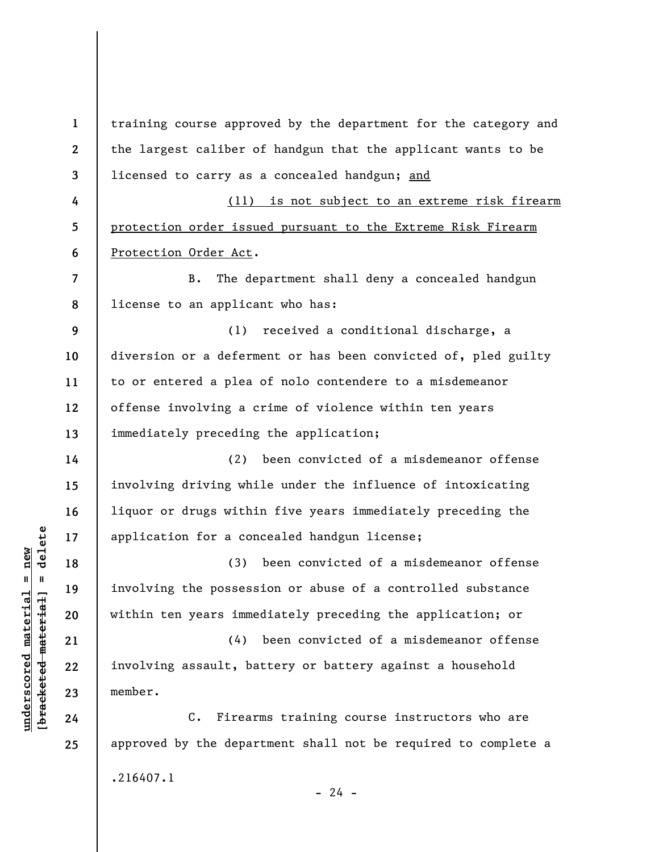**1 2 3 4 5 6 7 8 9 10 11 12 13 14 15 16 17 18 19 20 21 22 23 24 25**  training course approved by the department for the category and the largest caliber of handgun that the applicant wants to be licensed to carry as a concealed handgun; and (11) is not subject to an extreme risk firearm protection order issued pursuant to the Extreme Risk Firearm Protection Order Act. B. The department shall deny a concealed handgun license to an applicant who has: (1) received a conditional discharge, a diversion or a deferment or has been convicted of, pled guilty to or entered a plea of nolo contendere to a misdemeanor offense involving a crime of violence within ten years immediately preceding the application; (2) been convicted of a misdemeanor offense involving driving while under the influence of intoxicating liquor or drugs within five years immediately preceding the application for a concealed handgun license; (3) been convicted of a misdemeanor offense involving the possession or abuse of a controlled substance within ten years immediately preceding the application; or (4) been convicted of a misdemeanor offense involving assault, battery or battery against a household member. C. Firearms training course instructors who are approved by the department shall not be required to complete a .216407.1  $- 24 -$ 

 $\frac{1}{2}$  intereted material = delete **[bracketed material] = delete**  $underscored material = new$ **underscored material = new**